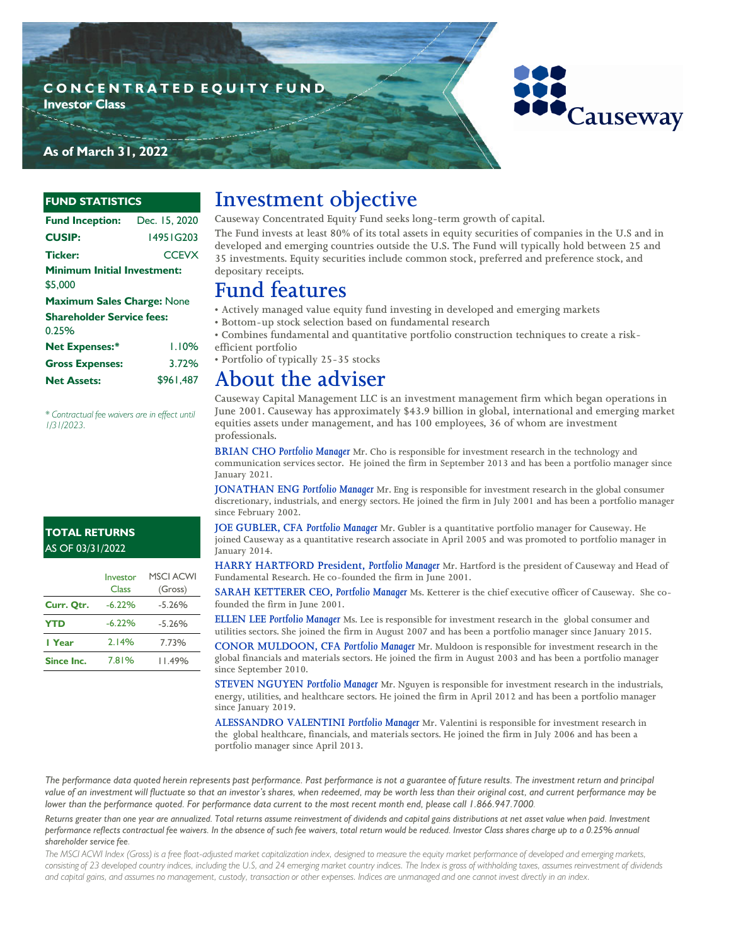### **C O N C E N T R A T E D E Q U I T Y F U N D**

**Investor Class**



### **As of March 31, 2022**

#### **FUND STATISTICS**

| <b>Fund Inception:</b>                        | Dec. 15, 2020 |  |  |  |
|-----------------------------------------------|---------------|--|--|--|
| <b>CUSIP:</b>                                 | 14951G203     |  |  |  |
| <b>Ticker:</b>                                | <b>CCEVX</b>  |  |  |  |
| <b>Minimum Initial Investment:</b><br>\$5,000 |               |  |  |  |
| Maximum Sales Charge: None                    |               |  |  |  |
| <b>Shareholder Service fees:</b>              |               |  |  |  |
| 0.25%                                         |               |  |  |  |
| <b>Net Expenses:*</b>                         | 1.10%         |  |  |  |
| <b>Gross Expenses:</b>                        | 3.72%         |  |  |  |
| <b>Net Assets:</b>                            | \$961.487     |  |  |  |

*\* Contractual fee waivers are in effect until 1/31/2023.*

#### **TOTAL RETURNS**  AS OF 03/31/2022

|            | Investor<br>Class | <b>MSCI ACWI</b><br>(Gross) |
|------------|-------------------|-----------------------------|
| Curr. Qtr. | $-6.22%$          | $-5.26%$                    |
| <b>YTD</b> | $-6.22%$          | $-5.26%$                    |
| l Year     | 2.14%             | 7.73%                       |
| Since Inc. | 7.81%             | 11.49%                      |

## **Investment objective**

**Causeway Concentrated Equity Fund seeks long-term growth of capital.** 

**The Fund invests at least 80% of its total assets in equity securities of companies in the U.S and in developed and emerging countries outside the U.S. The Fund will typically hold between 25 and 35 investments. Equity securities include common stock, preferred and preference stock, and depositary receipts.**

## **Fund features**

**• Actively managed value equity fund investing in developed and emerging markets**

**• Bottom-up stock selection based on fundamental research**

**• Combines fundamental and quantitative portfolio construction techniques to create a riskefficient portfolio**

**• Portfolio of typically 25-35 stocks**

**About the adviser**

**Causeway Capital Management LLC is an investment management firm which began operations in June 2001. Causeway has approximately \$43.9 billion in global, international and emerging market equities assets under management, and has 100 employees, 36 of whom are investment professionals.** 

**BRIAN CHO** *Portfolio Manager* **Mr. Cho is responsible for investment research in the technology and communication services sector. He joined the firm in September 2013 and has been a portfolio manager since January 2021.** 

**JONATHAN ENG** *Portfolio Manager* **Mr. Eng is responsible for investment research in the global consumer discretionary, industrials, and energy sectors. He joined the firm in July 2001 and has been a portfolio manager since February 2002.** 

**JOE GUBLER, CFA** *Portfolio Manager* **Mr. Gubler is a quantitative portfolio manager for Causeway. He joined Causeway as a quantitative research associate in April 2005 and was promoted to portfolio manager in January 2014.** 

**HARRY HARTFORD President,** *Portfolio Manager* **Mr. Hartford is the president of Causeway and Head of Fundamental Research. He co-founded the firm in June 2001.** 

**SARAH KETTERER CEO,** *Portfolio Manager* **Ms. Ketterer is the chief executive officer of Causeway. She cofounded the firm in June 2001.**

**ELLEN LEE** *Portfolio Manager* **Ms. Lee is responsible for investment research in the global consumer and utilities sectors. She joined the firm in August 2007 and has been a portfolio manager since January 2015.** 

**CONOR MULDOON, CFA** *Portfolio Manager* **Mr. Muldoon is responsible for investment research in the global financials and materials sectors. He joined the firm in August 2003 and has been a portfolio manager since September 2010.**

**STEVEN NGUYEN** *Portfolio Manager* **Mr. Nguyen is responsible for investment research in the industrials, energy, utilities, and healthcare sectors. He joined the firm in April 2012 and has been a portfolio manager since January 2019.** 

**ALESSANDRO VALENTINI** *Portfolio Manager* **Mr. Valentini is responsible for investment research in the global healthcare, financials, and materials sectors. He joined the firm in July 2006 and has been a portfolio manager since April 2013.**

The performance data quoted herein represents past performance. Past performance is not a guarantee of future results. The investment return and principal *value of an investment will fluctuate so that an investor's shares, when redeemed, may be worth less than their original cost, and current performance may be lower than the performance quoted. For performance data current to the most recent month end, please call 1.866.947.7000.*

*Returns greater than one year are annualized. Total returns assume reinvestment of dividends and capital gains distributions at net asset value when paid. Investment performance reflects contractual fee waivers. In the absence of such fee waivers, total return would be reduced. Investor Class shares charge up to a 0.25% annual shareholder service fee.*

The MSCI ACWI Index (Gross) is a free float-adjusted market capitalization index, designed to measure the equity market performance of developed and emerging markets, *consisting of 23 developed country indices, including the U.S, and 24 emerging market country indices. The Index is gross of withholding taxes, assumes reinvestment of dividends and capital gains, and assumes no management, custody, transaction or other expenses. Indices are unmanaged and one cannot invest directly in an index.*